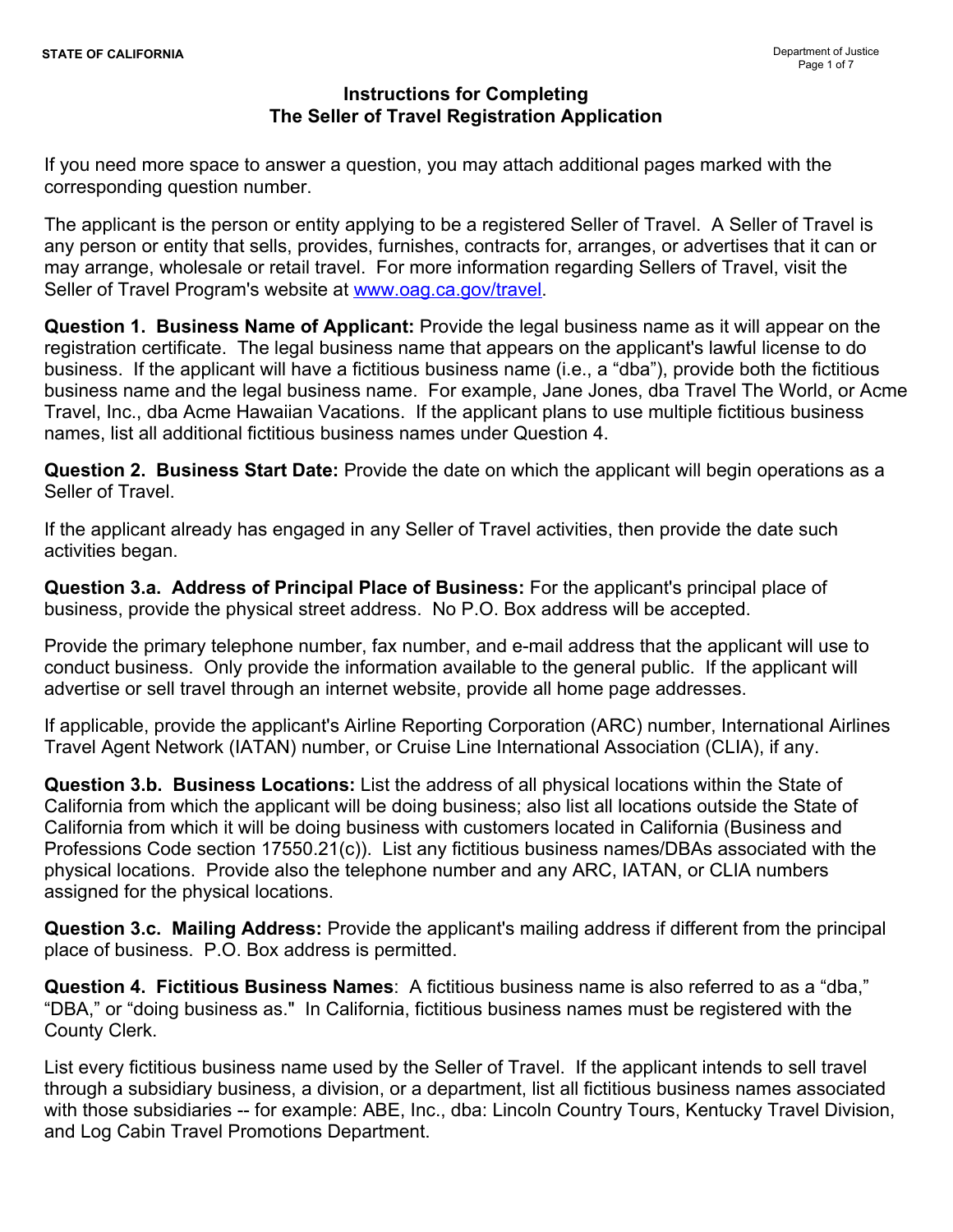If you need more space to answer a question, you may attach additional pages marked with the corresponding question number.

The applicant is the person or entity applying to be a registered Seller of Travel. A Seller of Travel is any person or entity that sells, provides, furnishes, contracts for, arranges, or advertises that it can or may arrange, wholesale or retail travel. For more information regarding Sellers of Travel, visit the Seller of Travel Program's website at [www.oag.ca.gov/travel](http://www.oag.ca.gov/travel).

**Question 1. Business Name of Applicant:** Provide the legal business name as it will appear on the registration certificate. The legal business name that appears on the applicant's lawful license to do business. If the applicant will have a fictitious business name (i.e., a "dba"), provide both the fictitious business name and the legal business name. For example, Jane Jones, dba Travel The World, or Acme Travel, Inc., dba Acme Hawaiian Vacations. If the applicant plans to use multiple fictitious business names, list all additional fictitious business names under Question 4.

**Question 2. Business Start Date:** Provide the date on which the applicant will begin operations as a Seller of Travel.

If the applicant already has engaged in any Seller of Travel activities, then provide the date such activities began.

**Question 3.a. Address of Principal Place of Business:** For the applicant's principal place of business, provide the physical street address. No P.O. Box address will be accepted.

Provide the primary telephone number, fax number, and e-mail address that the applicant will use to conduct business. Only provide the information available to the general public. If the applicant will advertise or sell travel through an internet website, provide all home page addresses.

If applicable, provide the applicant's Airline Reporting Corporation (ARC) number, International Airlines Travel Agent Network (IATAN) number, or Cruise Line International Association (CLIA), if any.

**Question 3.b. Business Locations:** List the address of all physical locations within the State of California from which the applicant will be doing business; also list all locations outside the State of California from which it will be doing business with customers located in California (Business and Professions Code section 17550.21(c)). List any fictitious business names/DBAs associated with the physical locations. Provide also the telephone number and any ARC, IATAN, or CLIA numbers assigned for the physical locations.

**Question 3.c. Mailing Address:** Provide the applicant's mailing address if different from the principal place of business. P.O. Box address is permitted.

**Question 4. Fictitious Business Names**: A fictitious business name is also referred to as a "dba," "DBA," or "doing business as." In California, fictitious business names must be registered with the County Clerk.

List every fictitious business name used by the Seller of Travel. If the applicant intends to sell travel through a subsidiary business, a division, or a department, list all fictitious business names associated with those subsidiaries -- for example: ABE, Inc., dba: Lincoln Country Tours, Kentucky Travel Division, and Log Cabin Travel Promotions Department.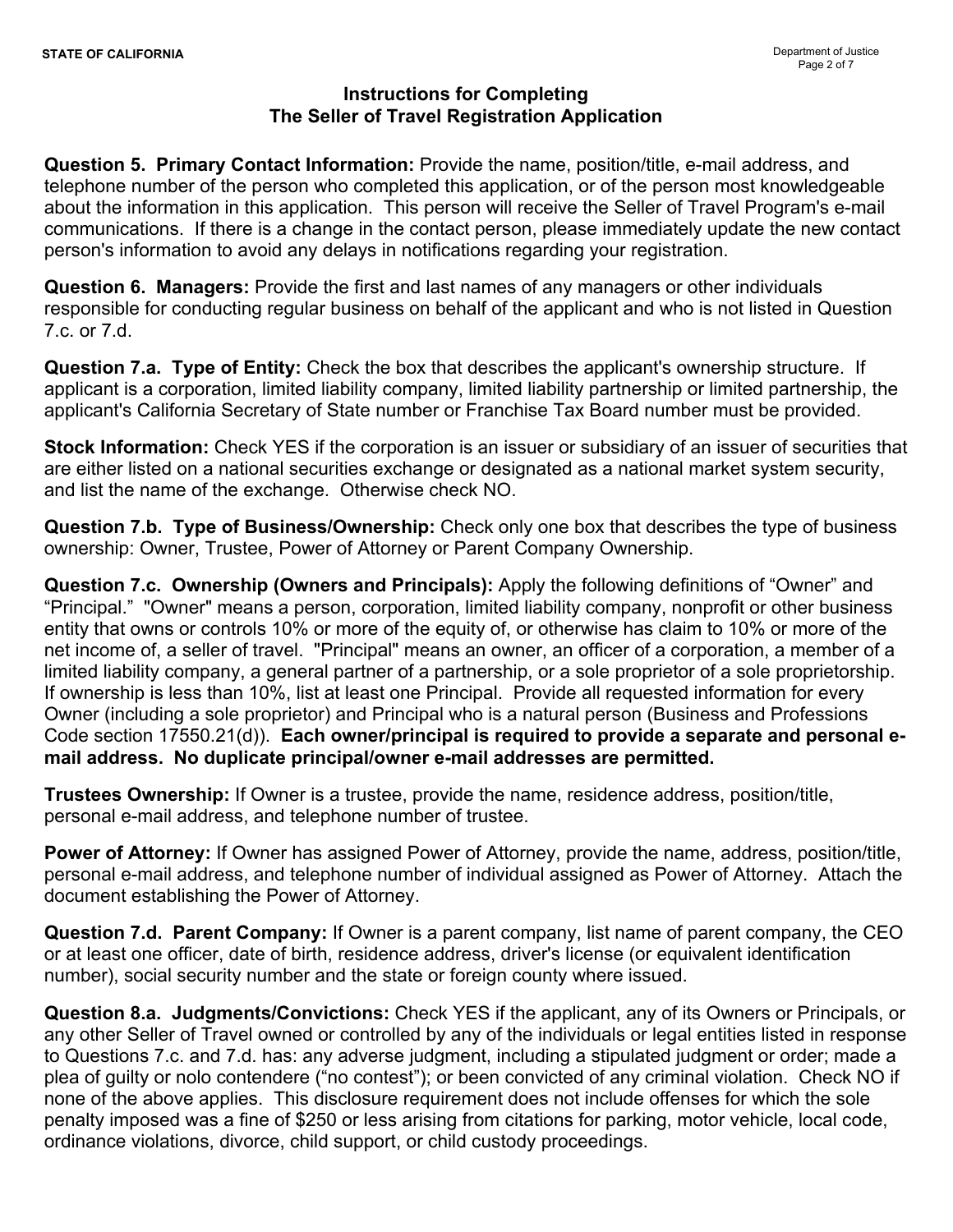**Question 5. Primary Contact Information:** Provide the name, position/title, e-mail address, and telephone number of the person who completed this application, or of the person most knowledgeable about the information in this application. This person will receive the Seller of Travel Program's e-mail communications. If there is a change in the contact person, please immediately update the new contact person's information to avoid any delays in notifications regarding your registration.

**Question 6. Managers:** Provide the first and last names of any managers or other individuals responsible for conducting regular business on behalf of the applicant and who is not listed in Question 7.c. or 7.d.

**Question 7.a. Type of Entity:** Check the box that describes the applicant's ownership structure. If applicant is a corporation, limited liability company, limited liability partnership or limited partnership, the applicant's California Secretary of State number or Franchise Tax Board number must be provided.

**Stock Information:** Check YES if the corporation is an issuer or subsidiary of an issuer of securities that are either listed on a national securities exchange or designated as a national market system security, and list the name of the exchange. Otherwise check NO.

**Question 7.b. Type of Business/Ownership:** Check only one box that describes the type of business ownership: Owner, Trustee, Power of Attorney or Parent Company Ownership.

**Question 7.c. Ownership (Owners and Principals):** Apply the following definitions of "Owner" and "Principal." "Owner" means a person, corporation, limited liability company, nonprofit or other business entity that owns or controls 10% or more of the equity of, or otherwise has claim to 10% or more of the net income of, a seller of travel. "Principal" means an owner, an officer of a corporation, a member of a limited liability company, a general partner of a partnership, or a sole proprietor of a sole proprietorship. If ownership is less than 10%, list at least one Principal. Provide all requested information for every Owner (including a sole proprietor) and Principal who is a natural person (Business and Professions Code section 17550.21(d)). **Each owner/principal is required to provide a separate and personal email address. No duplicate principal/owner e-mail addresses are permitted.** 

**Trustees Ownership:** If Owner is a trustee, provide the name, residence address, position/title, personal e-mail address, and telephone number of trustee.

**Power of Attorney:** If Owner has assigned Power of Attorney, provide the name, address, position/title, personal e-mail address, and telephone number of individual assigned as Power of Attorney. Attach the document establishing the Power of Attorney.

**Question 7.d. Parent Company:** If Owner is a parent company, list name of parent company, the CEO or at least one officer, date of birth, residence address, driver's license (or equivalent identification number), social security number and the state or foreign county where issued.

**Question 8.a. Judgments/Convictions:** Check YES if the applicant, any of its Owners or Principals, or any other Seller of Travel owned or controlled by any of the individuals or legal entities listed in response to Questions 7.c. and 7.d. has: any adverse judgment, including a stipulated judgment or order; made a plea of guilty or nolo contendere ("no contest"); or been convicted of any criminal violation. Check NO if none of the above applies. This disclosure requirement does not include offenses for which the sole penalty imposed was a fine of \$250 or less arising from citations for parking, motor vehicle, local code, ordinance violations, divorce, child support, or child custody proceedings.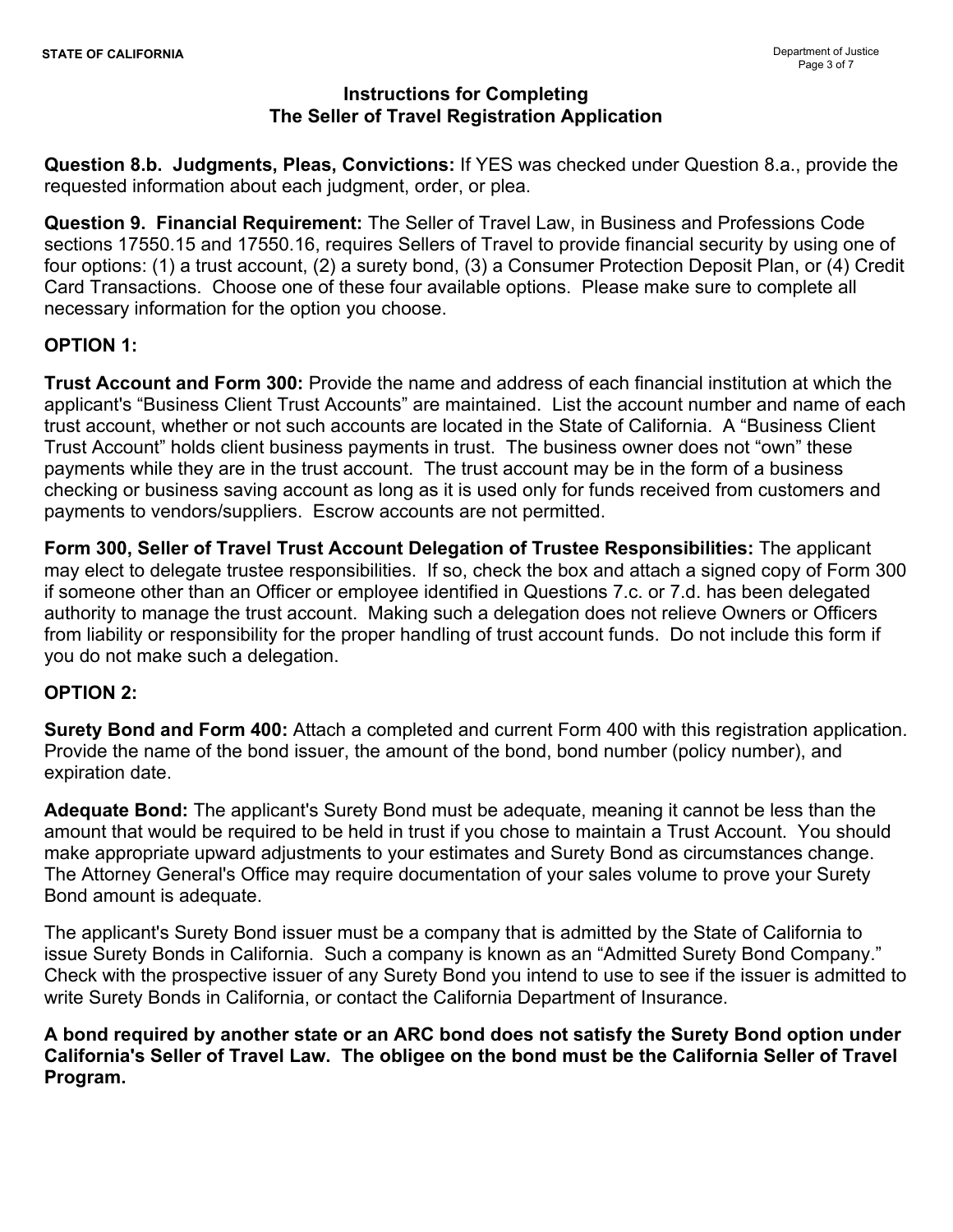**Question 8.b. Judgments, Pleas, Convictions:** If YES was checked under Question 8.a., provide the requested information about each judgment, order, or plea.

**Question 9. Financial Requirement:** The Seller of Travel Law, in Business and Professions Code sections 17550.15 and 17550.16, requires Sellers of Travel to provide financial security by using one of four options: (1) a trust account, (2) a surety bond, (3) a Consumer Protection Deposit Plan, or (4) Credit Card Transactions. Choose one of these four available options. Please make sure to complete all necessary information for the option you choose.

# **OPTION 1:**

**Trust Account and Form 300:** Provide the name and address of each financial institution at which the applicant's "Business Client Trust Accounts" are maintained. List the account number and name of each trust account, whether or not such accounts are located in the State of California. A "Business Client Trust Account" holds client business payments in trust. The business owner does not "own" these payments while they are in the trust account. The trust account may be in the form of a business checking or business saving account as long as it is used only for funds received from customers and payments to vendors/suppliers. Escrow accounts are not permitted.

**Form 300, Seller of Travel Trust Account Delegation of Trustee Responsibilities:** The applicant may elect to delegate trustee responsibilities. If so, check the box and attach a signed copy of Form 300 if someone other than an Officer or employee identified in Questions 7.c. or 7.d. has been delegated authority to manage the trust account. Making such a delegation does not relieve Owners or Officers from liability or responsibility for the proper handling of trust account funds. Do not include this form if you do not make such a delegation.

## **OPTION 2:**

**Surety Bond and Form 400:** Attach a completed and current Form 400 with this registration application. Provide the name of the bond issuer, the amount of the bond, bond number (policy number), and expiration date.

**Adequate Bond:** The applicant's Surety Bond must be adequate, meaning it cannot be less than the amount that would be required to be held in trust if you chose to maintain a Trust Account. You should make appropriate upward adjustments to your estimates and Surety Bond as circumstances change. The Attorney General's Office may require documentation of your sales volume to prove your Surety Bond amount is adequate.

The applicant's Surety Bond issuer must be a company that is admitted by the State of California to issue Surety Bonds in California. Such a company is known as an "Admitted Surety Bond Company." Check with the prospective issuer of any Surety Bond you intend to use to see if the issuer is admitted to write Surety Bonds in California, or contact the California Department of Insurance.

**A bond required by another state or an ARC bond does not satisfy the Surety Bond option under California's Seller of Travel Law. The obligee on the bond must be the California Seller of Travel Program.**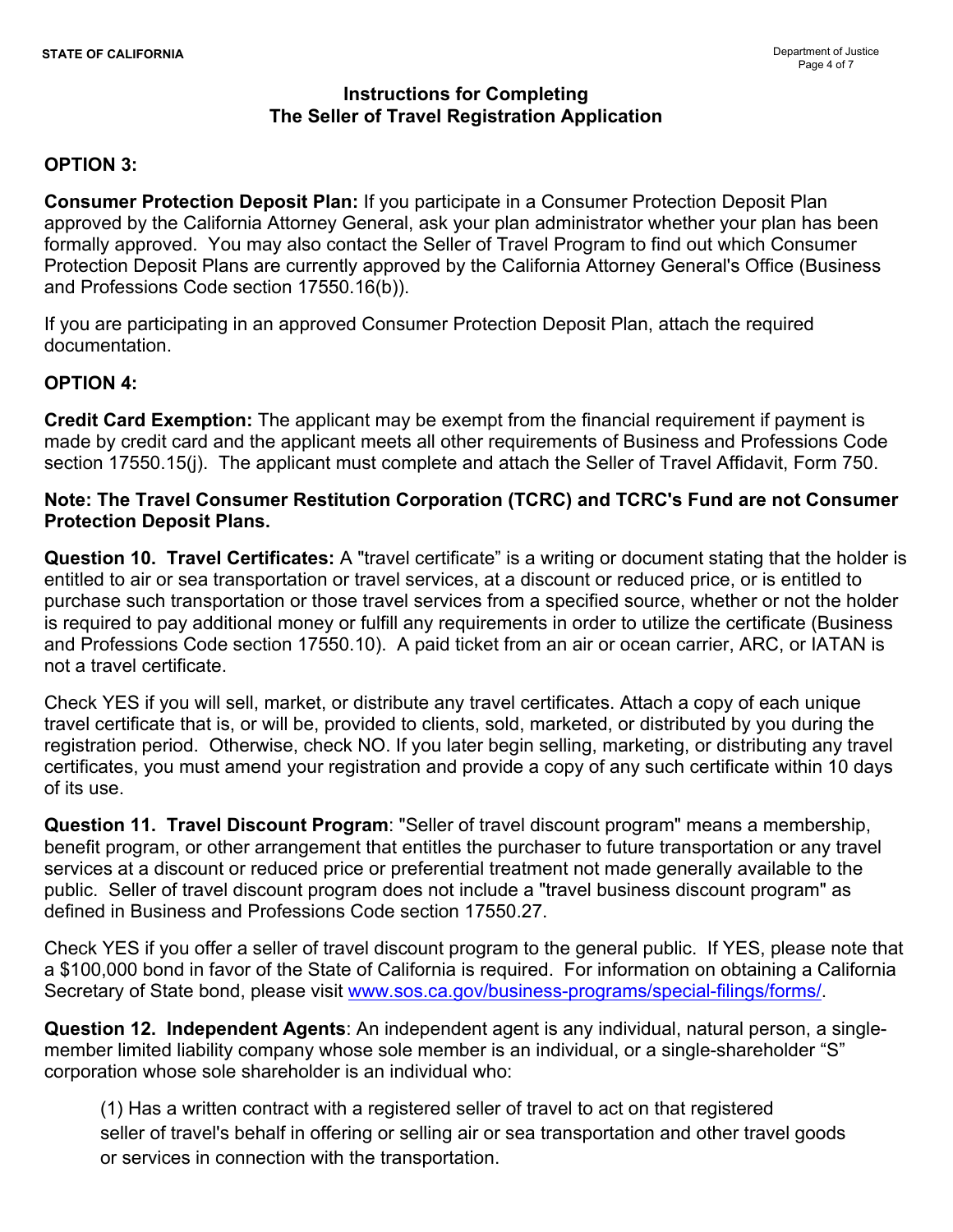## **OPTION 3:**

**Consumer Protection Deposit Plan:** If you participate in a Consumer Protection Deposit Plan approved by the California Attorney General, ask your plan administrator whether your plan has been formally approved. You may also contact the Seller of Travel Program to find out which Consumer Protection Deposit Plans are currently approved by the California Attorney General's Office (Business and Professions Code section 17550.16(b)).

If you are participating in an approved Consumer Protection Deposit Plan, attach the required documentation.

### **OPTION 4:**

**Credit Card Exemption:** The applicant may be exempt from the financial requirement if payment is made by credit card and the applicant meets all other requirements of Business and Professions Code section 17550.15(j). The applicant must complete and attach the Seller of Travel Affidavit, Form 750.

### **Note: The Travel Consumer Restitution Corporation (TCRC) and TCRC's Fund are not Consumer Protection Deposit Plans.**

**Question 10. Travel Certificates:** A "travel certificate" is a writing or document stating that the holder is entitled to air or sea transportation or travel services, at a discount or reduced price, or is entitled to purchase such transportation or those travel services from a specified source, whether or not the holder is required to pay additional money or fulfill any requirements in order to utilize the certificate (Business and Professions Code section 17550.10). A paid ticket from an air or ocean carrier, ARC, or IATAN is not a travel certificate.

Check YES if you will sell, market, or distribute any travel certificates. Attach a copy of each unique travel certificate that is, or will be, provided to clients, sold, marketed, or distributed by you during the registration period. Otherwise, check NO. If you later begin selling, marketing, or distributing any travel certificates, you must amend your registration and provide a copy of any such certificate within 10 days of its use.

**Question 11. Travel Discount Program**: "Seller of travel discount program" means a membership, benefit program, or other arrangement that entitles the purchaser to future transportation or any travel services at a discount or reduced price or preferential treatment not made generally available to the public. Seller of travel discount program does not include a "travel business discount program" as defined in Business and Professions Code section 17550.27.

Check YES if you offer a seller of travel discount program to the general public. If YES, please note that a \$100,000 bond in favor of the State of California is required. For information on obtaining a California Secretary of State bond, please visit www.sos.ca.gov/business-programs/special-filings/forms/

**Question 12. Independent Agents**: An independent agent is any individual, natural person, a singlemember limited liability company whose sole member is an individual, or a single-shareholder "S" corporation whose sole shareholder is an individual who:

(1) Has a written contract with a registered seller of travel to act on that registered seller of travel's behalf in offering or selling air or sea transportation and other travel goods or services in connection with the transportation.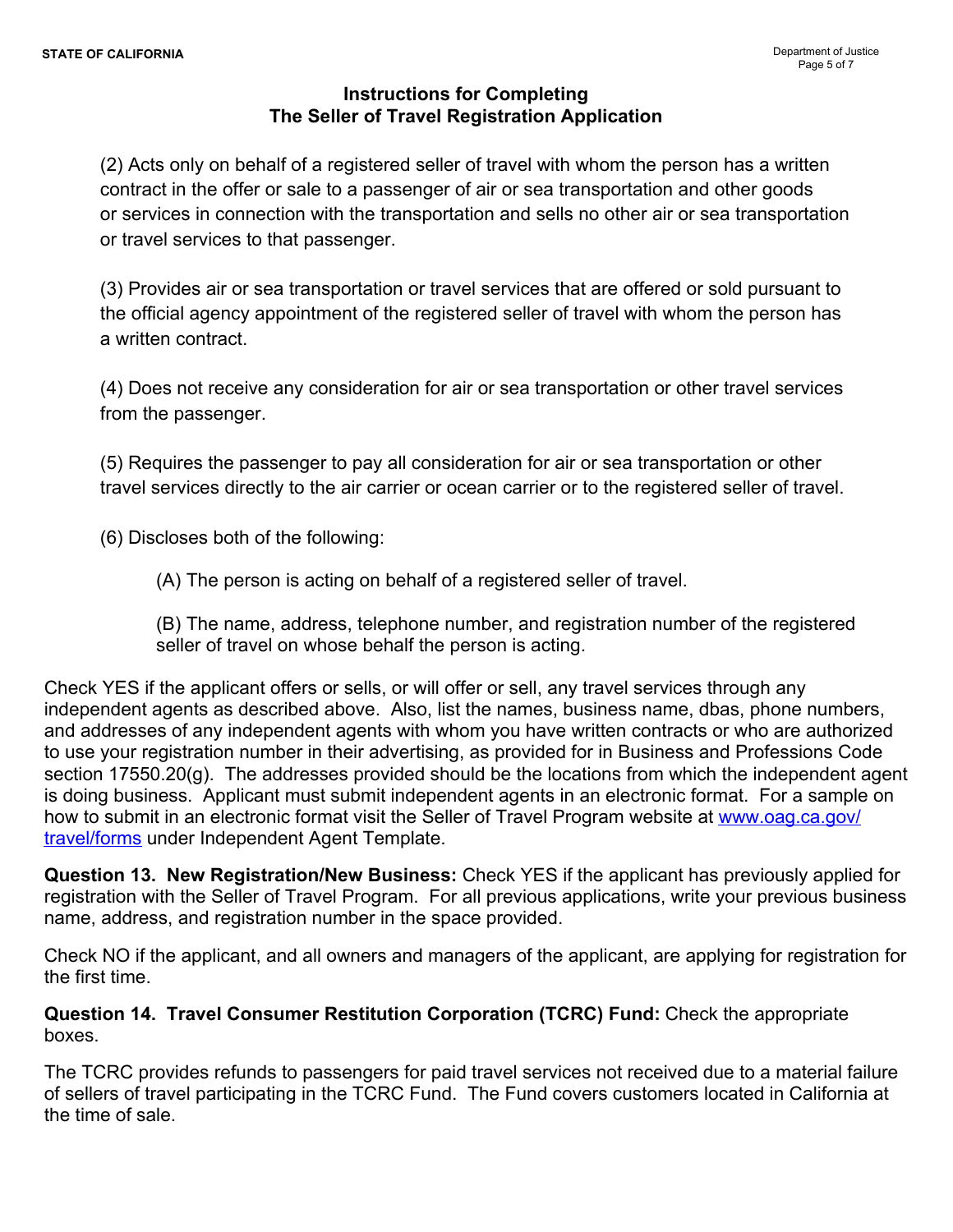(2) Acts only on behalf of a registered seller of travel with whom the person has a written contract in the offer or sale to a passenger of air or sea transportation and other goods or services in connection with the transportation and sells no other air or sea transportation or travel services to that passenger.

(3) Provides air or sea transportation or travel services that are offered or sold pursuant to the official agency appointment of the registered seller of travel with whom the person has a written contract.

(4) Does not receive any consideration for air or sea transportation or other travel services from the passenger.

(5) Requires the passenger to pay all consideration for air or sea transportation or other travel services directly to the air carrier or ocean carrier or to the registered seller of travel.

(6) Discloses both of the following:

(A) The person is acting on behalf of a registered seller of travel.

(B) The name, address, telephone number, and registration number of the registered seller of travel on whose behalf the person is acting.

Check YES if the applicant offers or sells, or will offer or sell, any travel services through any independent agents as described above. Also, list the names, business name, dbas, phone numbers, and addresses of any independent agents with whom you have written contracts or who are authorized to use your registration number in their advertising, as provided for in Business and Professions Code section 17550.20(g). The addresses provided should be the locations from which the independent agent is doing business. Applicant must submit independent agents in an electronic format. For a sample on how to submit in an electronic format visit the Seller of Travel Program website at [www.oag.ca.gov/](http://www.oag.ca.gov/travel/forms) [travel/forms](http://www.oag.ca.gov/travel/forms) under Independent Agent Template.

**Question 13. New Registration/New Business:** Check YES if the applicant has previously applied for registration with the Seller of Travel Program. For all previous applications, write your previous business name, address, and registration number in the space provided.

Check NO if the applicant, and all owners and managers of the applicant, are applying for registration for the first time.

**Question 14. Travel Consumer Restitution Corporation (TCRC) Fund:** Check the appropriate boxes.

The TCRC provides refunds to passengers for paid travel services not received due to a material failure of sellers of travel participating in the TCRC Fund. The Fund covers customers located in California at the time of sale.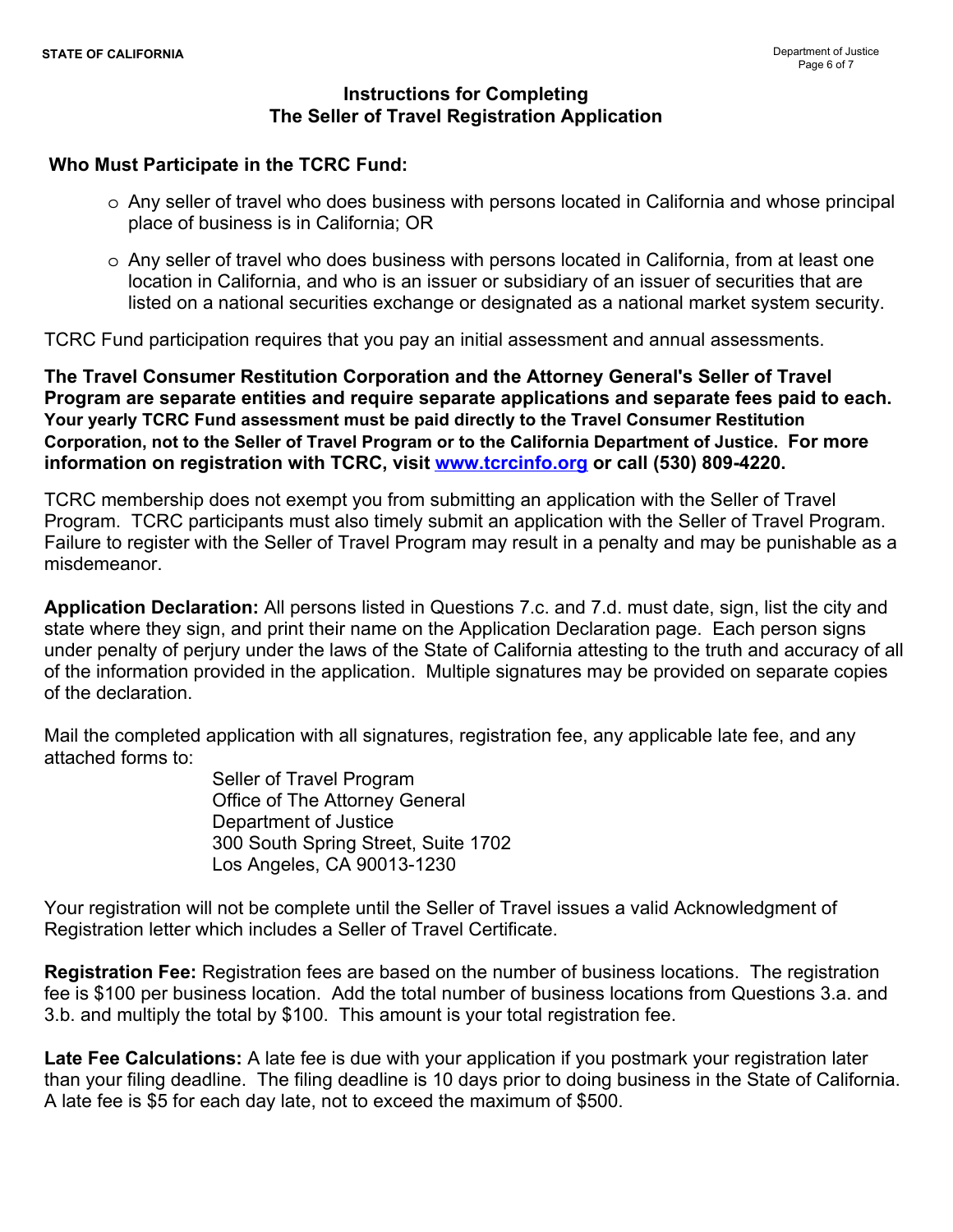### **Who Must Participate in the TCRC Fund:**

- o Any seller of travel who does business with persons located in California and whose principal place of business is in California; OR
- o Any seller of travel who does business with persons located in California, from at least one location in California, and who is an issuer or subsidiary of an issuer of securities that are listed on a national securities exchange or designated as a national market system security.

TCRC Fund participation requires that you pay an initial assessment and annual assessments.

**The Travel Consumer Restitution Corporation and the Attorney General's Seller of Travel Program are separate entities and require separate applications and separate fees paid to each. Your yearly TCRC Fund assessment must be paid directly to the Travel Consumer Restitution Corporation, not to the Seller of Travel Program or to the California Department of Justice. For more information on registration with TCRC, visit [www.tcrcinfo.org](http://www.tcrcinfo.org) or call (530) 809-4220.**

TCRC membership does not exempt you from submitting an application with the Seller of Travel Program. TCRC participants must also timely submit an application with the Seller of Travel Program. Failure to register with the Seller of Travel Program may result in a penalty and may be punishable as a misdemeanor.

**Application Declaration:** All persons listed in Questions 7.c. and 7.d. must date, sign, list the city and state where they sign, and print their name on the Application Declaration page. Each person signs under penalty of perjury under the laws of the State of California attesting to the truth and accuracy of all of the information provided in the application. Multiple signatures may be provided on separate copies of the declaration.

Mail the completed application with all signatures, registration fee, any applicable late fee, and any attached forms to:

> Seller of Travel Program Office of The Attorney General Department of Justice 300 South Spring Street, Suite 1702 Los Angeles, CA 90013-1230

Your registration will not be complete until the Seller of Travel issues a valid Acknowledgment of Registration letter which includes a Seller of Travel Certificate.

**Registration Fee:** Registration fees are based on the number of business locations. The registration fee is \$100 per business location. Add the total number of business locations from Questions 3.a. and 3.b. and multiply the total by \$100. This amount is your total registration fee.

**Late Fee Calculations:** A late fee is due with your application if you postmark your registration later than your filing deadline. The filing deadline is 10 days prior to doing business in the State of California. A late fee is \$5 for each day late, not to exceed the maximum of \$500.